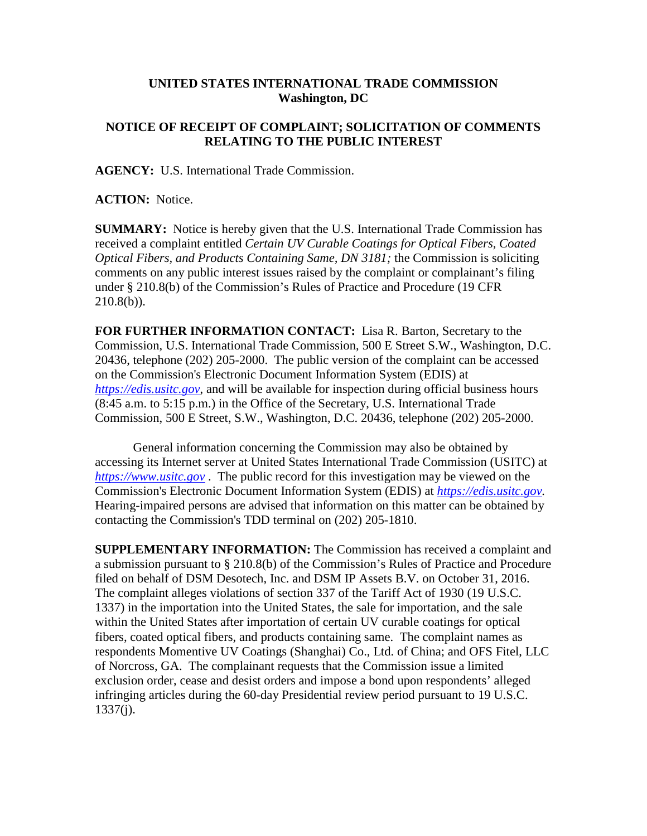## **UNITED STATES INTERNATIONAL TRADE COMMISSION Washington, DC**

## **NOTICE OF RECEIPT OF COMPLAINT; SOLICITATION OF COMMENTS RELATING TO THE PUBLIC INTEREST**

**AGENCY:** U.S. International Trade Commission.

**ACTION:** Notice.

**SUMMARY:** Notice is hereby given that the U.S. International Trade Commission has received a complaint entitled *Certain UV Curable Coatings for Optical Fibers, Coated Optical Fibers, and Products Containing Same, DN 3181;* the Commission is soliciting comments on any public interest issues raised by the complaint or complainant's filing under § 210.8(b) of the Commission's Rules of Practice and Procedure (19 CFR  $210.8(b)$ ).

**FOR FURTHER INFORMATION CONTACT:** Lisa R. Barton, Secretary to the Commission, U.S. International Trade Commission, 500 E Street S.W., Washington, D.C. 20436, telephone (202) 205-2000. The public version of the complaint can be accessed on the Commission's Electronic Document Information System (EDIS) at *[https://edis.usitc.gov](https://edis.usitc.gov/)*, and will be available for inspection during official business hours (8:45 a.m. to 5:15 p.m.) in the Office of the Secretary, U.S. International Trade Commission, 500 E Street, S.W., Washington, D.C. 20436, telephone (202) 205-2000.

General information concerning the Commission may also be obtained by accessing its Internet server at United States International Trade Commission (USITC) at *[https://www.usitc.gov](https://www.usitc.gov/)* . The public record for this investigation may be viewed on the Commission's Electronic Document Information System (EDIS) at *[https://edis.usitc.gov.](https://edis.usitc.gov/)* Hearing-impaired persons are advised that information on this matter can be obtained by contacting the Commission's TDD terminal on (202) 205-1810.

**SUPPLEMENTARY INFORMATION:** The Commission has received a complaint and a submission pursuant to § 210.8(b) of the Commission's Rules of Practice and Procedure filed on behalf of DSM Desotech, Inc. and DSM IP Assets B.V. on October 31, 2016. The complaint alleges violations of section 337 of the Tariff Act of 1930 (19 U.S.C. 1337) in the importation into the United States, the sale for importation, and the sale within the United States after importation of certain UV curable coatings for optical fibers, coated optical fibers, and products containing same. The complaint names as respondents Momentive UV Coatings (Shanghai) Co., Ltd. of China; and OFS Fitel, LLC of Norcross, GA. The complainant requests that the Commission issue a limited exclusion order, cease and desist orders and impose a bond upon respondents' alleged infringing articles during the 60-day Presidential review period pursuant to 19 U.S.C. 1337(j).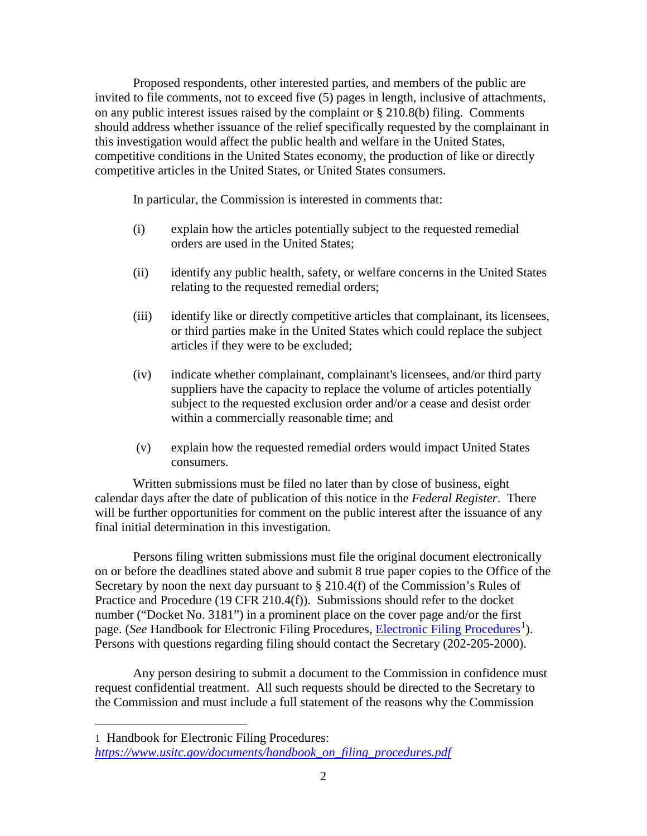Proposed respondents, other interested parties, and members of the public are invited to file comments, not to exceed five (5) pages in length, inclusive of attachments, on any public interest issues raised by the complaint or § 210.8(b) filing. Comments should address whether issuance of the relief specifically requested by the complainant in this investigation would affect the public health and welfare in the United States, competitive conditions in the United States economy, the production of like or directly competitive articles in the United States, or United States consumers.

In particular, the Commission is interested in comments that:

- (i) explain how the articles potentially subject to the requested remedial orders are used in the United States;
- (ii) identify any public health, safety, or welfare concerns in the United States relating to the requested remedial orders;
- (iii) identify like or directly competitive articles that complainant, its licensees, or third parties make in the United States which could replace the subject articles if they were to be excluded;
- (iv) indicate whether complainant, complainant's licensees, and/or third party suppliers have the capacity to replace the volume of articles potentially subject to the requested exclusion order and/or a cease and desist order within a commercially reasonable time; and
- (v) explain how the requested remedial orders would impact United States consumers.

Written submissions must be filed no later than by close of business, eight calendar days after the date of publication of this notice in the *Federal Register*. There will be further opportunities for comment on the public interest after the issuance of any final initial determination in this investigation.

Persons filing written submissions must file the original document electronically on or before the deadlines stated above and submit 8 true paper copies to the Office of the Secretary by noon the next day pursuant to  $\S 210.4(f)$  of the Commission's Rules of Practice and Procedure (19 CFR 210.4(f)). Submissions should refer to the docket number ("Docket No. 3181") in a prominent place on the cover page and/or the first page. (*See* Handbook for [Electronic Filing Procedures](http://www.usitc.gov/secretary/fed_reg_notices/rules/handbook_on_electronic_filing.pdf), *Electronic Filing Procedures*<sup>[1](#page-1-0)</sup>). Persons with questions regarding filing should contact the Secretary (202-205-2000).

Any person desiring to submit a document to the Commission in confidence must request confidential treatment. All such requests should be directed to the Secretary to the Commission and must include a full statement of the reasons why the Commission

 $\overline{a}$ 

<span id="page-1-0"></span><sup>1</sup> Handbook for Electronic Filing Procedures: *[https://www.usitc.gov/documents/handbook\\_on\\_filing\\_procedures.pdf](https://www.usitc.gov/documents/handbook_on_filing_procedures.pdf)*